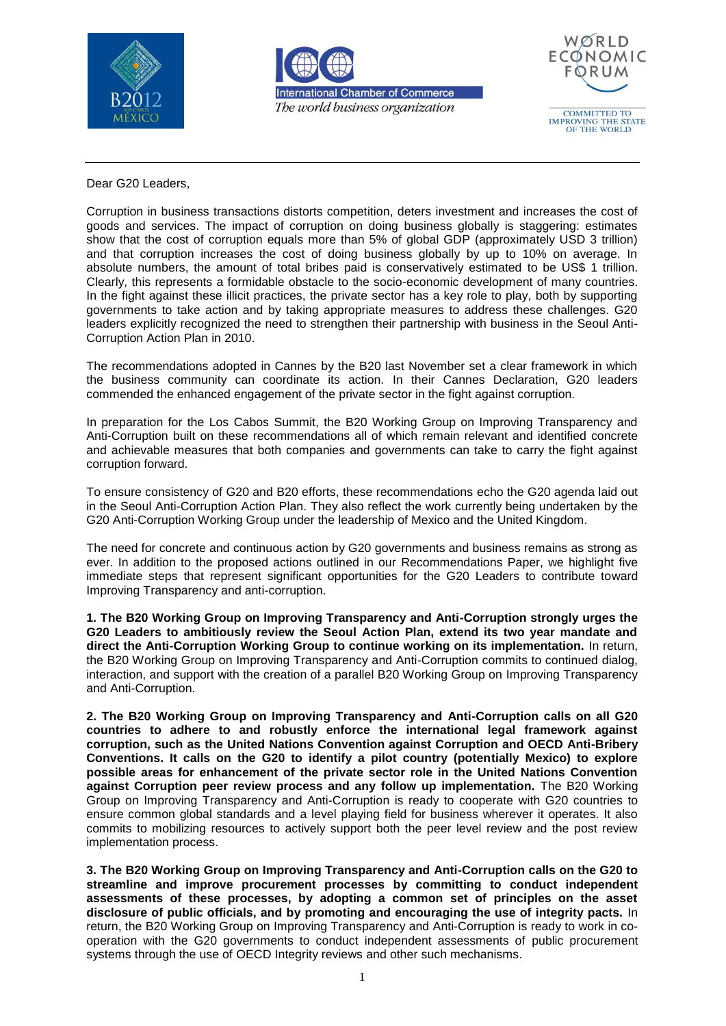





Dear G20 Leaders,

Corruption in business transactions distorts competition, deters investment and increases the cost of goods and services. The impact of corruption on doing business globally is staggering: estimates show that the cost of corruption equals more than 5% of global GDP (approximately USD 3 trillion) and that corruption increases the cost of doing business globally by up to 10% on average. In absolute numbers, the amount of total bribes paid is conservatively estimated to be US\$ 1 trillion. Clearly, this represents a formidable obstacle to the socio-economic development of many countries. In the fight against these illicit practices, the private sector has a key role to play, both by supporting governments to take action and by taking appropriate measures to address these challenges. G20 leaders explicitly recognized the need to strengthen their partnership with business in the Seoul Anti-Corruption Action Plan in 2010.

The recommendations adopted in Cannes by the B20 last November set a clear framework in which the business community can coordinate its action. In their Cannes Declaration, G20 leaders commended the enhanced engagement of the private sector in the fight against corruption.

In preparation for the Los Cabos Summit, the B20 Working Group on Improving Transparency and Anti-Corruption built on these recommendations all of which remain relevant and identified concrete and achievable measures that both companies and governments can take to carry the fight against corruption forward.

To ensure consistency of G20 and B20 efforts, these recommendations echo the G20 agenda laid out in the Seoul Anti-Corruption Action Plan. They also reflect the work currently being undertaken by the G20 Anti-Corruption Working Group under the leadership of Mexico and the United Kingdom.

The need for concrete and continuous action by G20 governments and business remains as strong as ever. In addition to the proposed actions outlined in our Recommendations Paper, we highlight five immediate steps that represent significant opportunities for the G20 Leaders to contribute toward Improving Transparency and anti-corruption.

**1. The B20 Working Group on Improving Transparency and Anti-Corruption strongly urges the G20 Leaders to ambitiously review the Seoul Action Plan, extend its two year mandate and direct the Anti-Corruption Working Group to continue working on its implementation.** In return, the B20 Working Group on Improving Transparency and Anti-Corruption commits to continued dialog, interaction, and support with the creation of a parallel B20 Working Group on Improving Transparency and Anti-Corruption.

**2. The B20 Working Group on Improving Transparency and Anti-Corruption calls on all G20 countries to adhere to and robustly enforce the international legal framework against corruption, such as the United Nations Convention against Corruption and OECD Anti-Bribery Conventions. It calls on the G20 to identify a pilot country (potentially Mexico) to explore possible areas for enhancement of the private sector role in the United Nations Convention against Corruption peer review process and any follow up implementation.** The B20 Working Group on Improving Transparency and Anti-Corruption is ready to cooperate with G20 countries to ensure common global standards and a level playing field for business wherever it operates. It also commits to mobilizing resources to actively support both the peer level review and the post review implementation process.

**3. The B20 Working Group on Improving Transparency and Anti-Corruption calls on the G20 to streamline and improve procurement processes by committing to conduct independent assessments of these processes, by adopting a common set of principles on the asset disclosure of public officials, and by promoting and encouraging the use of integrity pacts.** In return, the B20 Working Group on Improving Transparency and Anti-Corruption is ready to work in cooperation with the G20 governments to conduct independent assessments of public procurement systems through the use of OECD Integrity reviews and other such mechanisms.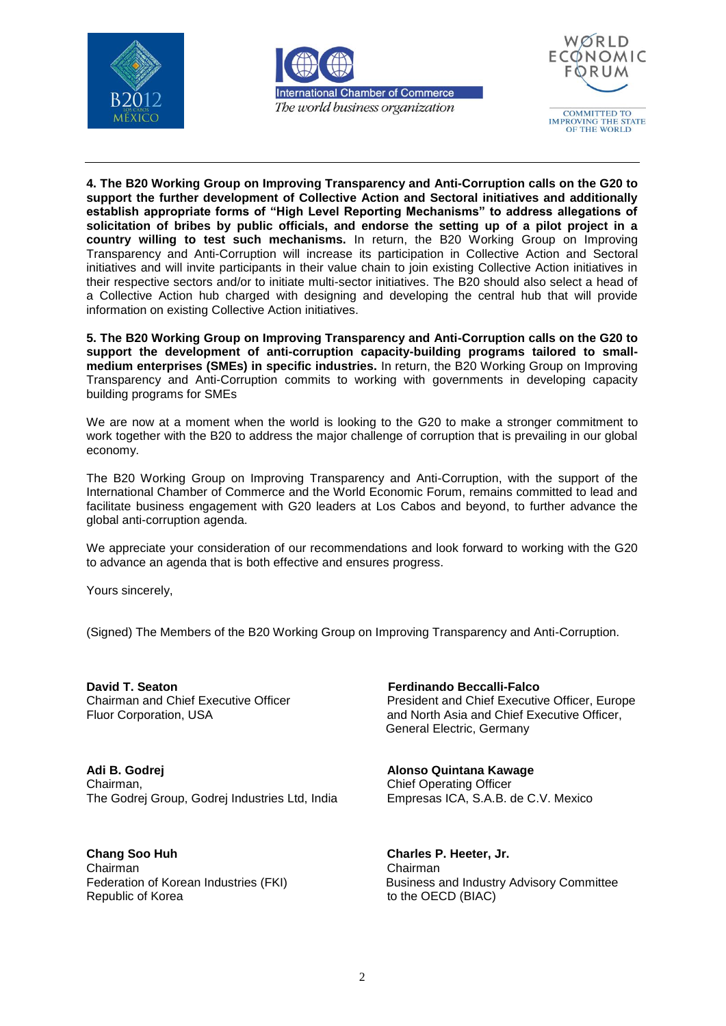





**4. The B20 Working Group on Improving Transparency and Anti-Corruption calls on the G20 to support the further development of Collective Action and Sectoral initiatives and additionally establish appropriate forms of "High Level Reporting Mechanisms" to address allegations of solicitation of bribes by public officials, and endorse the setting up of a pilot project in a country willing to test such mechanisms.** In return, the B20 Working Group on Improving Transparency and Anti-Corruption will increase its participation in Collective Action and Sectoral initiatives and will invite participants in their value chain to join existing Collective Action initiatives in their respective sectors and/or to initiate multi-sector initiatives. The B20 should also select a head of a Collective Action hub charged with designing and developing the central hub that will provide information on existing Collective Action initiatives.

**5. The B20 Working Group on Improving Transparency and Anti-Corruption calls on the G20 to support the development of anti-corruption capacity-building programs tailored to smallmedium enterprises (SMEs) in specific industries.** In return, the B20 Working Group on Improving Transparency and Anti-Corruption commits to working with governments in developing capacity building programs for SMEs

We are now at a moment when the world is looking to the [G20](http://www.ibtimes.com/topics/detail/568/g20/) to make a stronger commitment to work together with the B20 to address the major challenge of corruption that is prevailing in our global economy.

The B20 Working Group on Improving Transparency and Anti-Corruption, with the support of the International Chamber of Commerce and the World Economic Forum, remains committed to lead and facilitate business engagement with G20 leaders at Los Cabos and beyond, to further advance the global anti-corruption agenda.

We appreciate your consideration of our recommendations and look forward to working with the G20 to advance an agenda that is both effective and ensures progress.

Yours sincerely,

(Signed) The Members of the B20 Working Group on Improving Transparency and Anti-Corruption.

**David T. Seaton Ferdinando Beccalli-Falco** 

**Adi B. Godrej Alonso Quintana Kawage** Chairman, **Chairman**, **Chief Operating Officer** The Godrej Group, Godrej Industries Ltd, India Empresas ICA, S.A.B. de C.V. Mexico

**Chang Soo Huh Charles P. Heeter, Jr.** Chairman Chairman Republic of Korea to the OECD (BIAC)

Chairman and Chief Executive Officer President and Chief Executive Officer, Europe Fluor Corporation, USA **and North Asia and Chief Executive Officer**, General Electric, Germany

Federation of Korean Industries (FKI) Business and Industry Advisory Committee